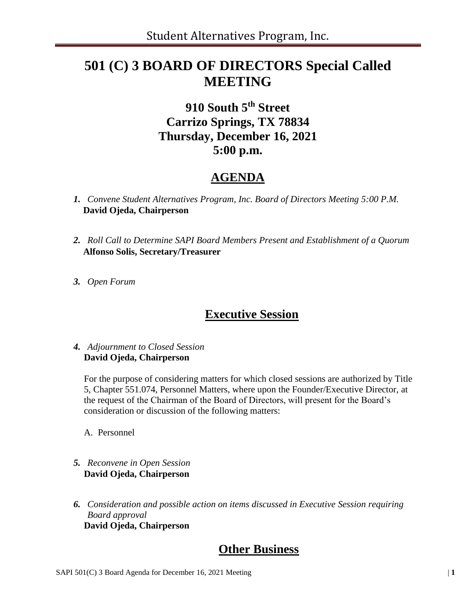# **501 (C) 3 BOARD OF DIRECTORS Special Called MEETING**

## **910 South 5th Street Carrizo Springs, TX 78834 Thursday, December 16, 2021 5:00 p.m.**

## **AGENDA**

- *1. Convene Student Alternatives Program, Inc. Board of Directors Meeting 5:00 P.M.* **David Ojeda, Chairperson**
- *2. Roll Call to Determine SAPI Board Members Present and Establishment of a Quorum*  **Alfonso Solis, Secretary/Treasurer**
- *3. Open Forum*

#### **Executive Session**

#### *4. Adjournment to Closed Session* **David Ojeda, Chairperson**

For the purpose of considering matters for which closed sessions are authorized by Title 5, Chapter 551.074, Personnel Matters, where upon the Founder/Executive Director, at the request of the Chairman of the Board of Directors, will present for the Board's consideration or discussion of the following matters:

A. Personnel

- *5. Reconvene in Open Session* **David Ojeda, Chairperson**
- *6. Consideration and possible action on items discussed in Executive Session requiring Board approval* **David Ojeda, Chairperson**

#### **Other Business**